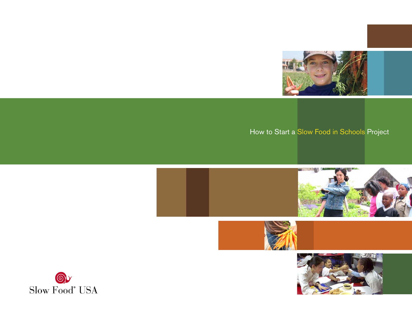

# How to Start a Slow Food in Schools Project





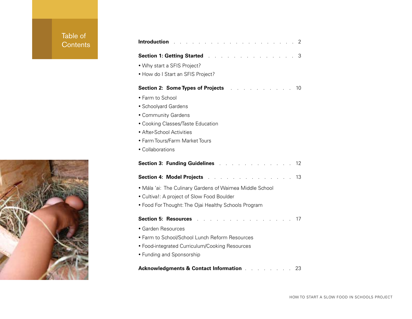# Table of Contents

| <b>Introduction</b><br>$\sim$ $\sim$<br>and the control of                                     | 2  |
|------------------------------------------------------------------------------------------------|----|
| <b>Section 1: Getting Started Algebra</b><br><b>Contract Contract Contract</b><br>$\mathbf{r}$ | 3  |
| • Why start a SFIS Project?                                                                    |    |
| • How do I Start an SFIS Project?                                                              |    |
| <b>Section 2: Some Types of Projects</b><br>$\sim$                                             | 10 |
| • Farm to School                                                                               |    |
| • Schoolyard Gardens                                                                           |    |
| • Community Gardens                                                                            |    |
| • Cooking Classes/Taste Education                                                              |    |
| • After-School Activities                                                                      |    |
| • Farm Tours/Farm Market Tours                                                                 |    |
| • Collaborations                                                                               |    |
| <b>Section 3: Funding Guidelines Allen Section 3: Funding Guidelines</b>                       | 12 |
| Section 4: Model Projects                                                                      | 13 |
| • Mála 'ai: The Culinary Gardens of Waimea Middle School                                       |    |
| • Cultiva!: A project of Slow Food Boulder                                                     |    |
| • Food For Thought: The Ojai Healthy Schools Program                                           |    |
| <b>Section 5: Resources</b> .                                                                  | 17 |
| • Garden Resources                                                                             |    |
| • Farm to School/School Lunch Reform Resources                                                 |    |
| • Food-integrated Curriculum/Cooking Resources                                                 |    |
| • Funding and Sponsorship                                                                      |    |
|                                                                                                |    |
| <b>Acknowledgments &amp; Contact Information</b><br>the contract of the contract of the        | 23 |

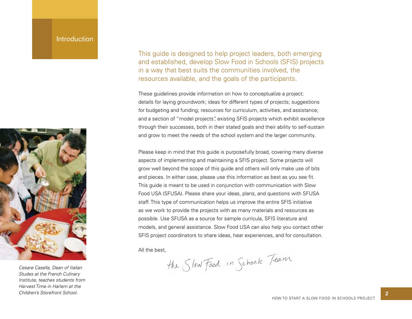# **Introduction**



*Cesare Casella, Dean of Italian Studes at the French Culinary Institute, teaches students from Harvest Time in Harlem at the Children's Storefront School.*

This guide is designed to help project leaders, both emerging and established, develop Slow Food in Schools (SFIS) projects in a way that best suits the communities involved, the resources available, and the goals of the participants.

These guidelines provide information on how to conceptualize a project; details for laying groundwork; ideas for different types of projects; suggestions for budgeting and funding; resources for curriculum, activities, and assistance; and a section of "model projects", existing SFIS projects which exhibit excellence through their successes, both in their stated goals and their ability to self-sustain and grow to meet the needs of the school system and the larger community.

Please keep in mind that this guide is purposefully broad, covering many diverse aspects of implementing and maintaining a SFIS project. Some projects will grow well beyond the scope of this guide and others will only make use of bits and pieces. In either case, please use this information as best as you see fit. This guide is meant to be used in conjunction with communication with Slow Food USA (SFUSA). Please share your ideas, plans, and questions with SFUSA staff. This type of communication helps us improve the entire SFIS initiative as we work to provide the projects with as many materials and resources as possible. Use SFUSA as a source for sample curricula, SFIS literature and models, and general assistance. Slow Food USA can also help you contact other SFIS project coordinators to share ideas, hear experiences, and for consultation.

All the best,<br>the  $S$ low Food in Schools Team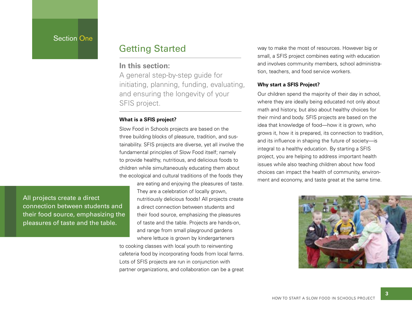# Section One

# Getting Started

# **In this section:**

A general step-by-step guide for initiating, planning, funding, evaluating, and ensuring the longevity of your SFIS project.

# **What is a SFIS project?**

Slow Food in Schools projects are based on the three building blocks of pleasure, tradition, and sustainability. SFIS projects are diverse, yet all involve the fundamental principles of Slow Food itself; namely to provide healthy, nutritious, and delicious foods to children while simultaneously educating them about the ecological and cultural traditions of the foods they

> are eating and enjoying the pleasures of taste. They are a celebration of locally grown, nutritiously delicious foods! All projects create a direct connection between students and their food source, emphasizing the pleasures of taste and the table. Projects are hands-on, and range from small playground gardens where lettuce is grown by kindergarteners

to cooking classes with local youth to reinventing cafeteria food by incorporating foods from local farms. Lots of SFIS projects are run in conjunction with partner organizations, and collaboration can be a great

way to make the most of resources. However big or small, a SFIS project combines eating with education and involves community members, school administration, teachers, and food service workers.

# **Why start a SFIS Project?**

Our children spend the majority of their day in school, where they are ideally being educated not only about math and history, but also about healthy choices for their mind and body. SFIS projects are based on the idea that knowledge of food—how it is grown, who grows it, how it is prepared, its connection to tradition, and its influence in shaping the future of society-is integral to a healthy education. By starting a SFIS project, you are helping to address important health issues while also teaching children about how food choices can impact the health of community, environment and economy, and taste great at the same time.



All projects create a direct connection between students and their food source, emphasizing the pleasures of taste and the table.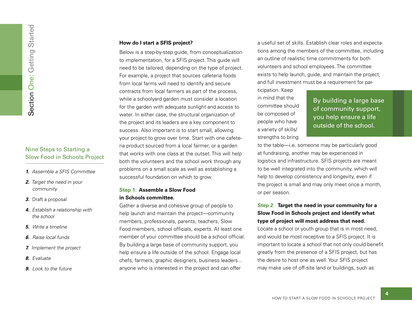# Nine Steps to Starting a Slow Food in Schools Project

- *1. Assemble a SFIS Committee*
- *2. Target the need in your community*
- *3.* Draft a proposal
- *4. Establish a relationship with the school*
- *5. Write a timeline*
- *6. Raise local funds*
- *7. Implement the project*
- *8. Evaluate*
- *9. Look to the future*

# **How do I start a SFIS project?**

Below is a step-by-step guide, from conceptualization to implementation, for a SFIS project. This guide will need to be tailored, depending on the type of project. For example, a project that sources cafeteria foods from local farms will need to identify and secure contracts from local farmers as part of the process, while a schoolyard garden must consider a location for the garden with adequate sunlight and access to water. In either case, the structural organization of the project and its leaders are a key component to success. Also important is to start small, allowing your project to grow over time. Start with one cafeteria product sourced from a local farmer, or a garden that works with one class at the outset. This will help both the volunteers and the school work through any problems on a small scale as well as establishing a successful foundation on which to grow.

# **Step 1: Assemble a Slow Food in Schools committee.**

Gather a diverse and cohesive group of people to help launch and maintain the project—community members, professionals, parents, teachers, Slow Food members, school officials, experts. At least one member of your committee should be a school official. By building a large base of community support, you help ensure a life outside of the school. Engage local chefs, farmers, graphic designers, business leaders... anyone who is interested in the project and can offer

a useful set of skills. Establish clear roles and expectations among the members of the committee, including an outline of realistic time commitments for both volunteers and school employees. The committee exists to help launch, guide, and maintain the project, and full investment must be a requirement for par-

ticipation. Keep in mind that the committee should be composed of people who have a variety of skills/ strengths to bring

By building a large base of community support, you help ensure a life outside of the school.

to the table—i.e. someone may be particularly good at fundraising, another may be experienced in logistics and infrastructure. SFIS projects are meant to be well integrated into the community, which will help to develop consistency and longevity, even if the project is small and may only meet once a month, or per season.

# **Step 2**: **Target the need in your community for a Slow Food in Schools project and identify what type of project will most address that need.**

Locate a school or youth group that is in most need, and would be most receptive to a SFIS project. It is important to locate a school that not only could benefit greatly from the presence of a SFIS project, but has the desire to host one as well. Your SFIS project may make use of off-site land or buildings, such as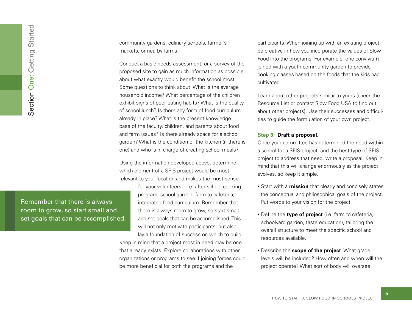community gardens, culinary schools, farmer's markets, or nearby farms.

Conduct a basic needs assessment, or a survey of the proposed site to gain as much information as possible about what exactly would benefit the school most. Some questions to think about: What is the average household income? What percentage of the children exhibit signs of poor eating habits? What is the quality of school lunch? Is there any form of food curriculum already in place? What is the present knowledge base of the faculty, children, and parents about food and farm issues? Is there already space for a school garden? What is the condition of the kitchen (if there is one) and who is in charge of creating school meals?

Using the information developed above, determine which element of a SFIS project would be most relevant to your location and makes the most sense

> for your volunteers—i.e. after school cooking program, school garden, farm-to-cafeteria, integrated food curriculum. Remember that there is always room to grow, so start small and set goals that can be accomplished. This will not only motivate participants, but also

lay a foundation of success on which to build. Keep in mind that a project most in need may be one that already exists. Explore collaborations with other organizations or programs to see if joining forces could be more beneficial for both the programs and the

participants. When joining up with an existing project, be creative in how you incorporate the values of Slow Food into the programs. For example, one convivium joined with a youth community garden to provide cooking classes based on the foods that the kids had cultivated.

Learn about other projects similar to yours (check the Resource List or contact Slow Food USA to find out about other projects). Use their successes and difficulties to guide the formulation of your own project.

# **Step 3: Draft a proposal.**

Once your committee has determined the need within a school for a SFIS project, and the best type of SFIS project to address that need, write a proposal. Keep in mind that this will change enormously as the project evolves, so keep it simple.

- Start with a **mission** that clearly and concisely states the conceptual and philosophical goals of the project. Put words to your vision for the project.
- Define the **type of project** (i.e. farm to cafeteria, schoolyard garden, taste education), tailoring the overall structure to meet the specific school and resources available.
- Describe the **scope of the project**. What grade levels will be included? How often and when will the project operate? What sort of body will oversee

Remember that there is always room to grow, so start small and Text goals that there is always<br>
The accomplished.<br>
Section One: Getting Started.<br>
Section One: Getting Started.<br>
Started.<br>
Started.<br>
Started.<br>
Started.<br>
Started.<br>
Started.<br>
Started.<br>
Started.<br>
Started.<br>
Started.<br>
Started.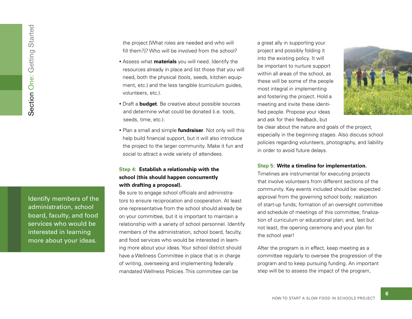Identify members of the administration, school board, faculty, and food services who would be interested in learning more about your ideas.

the project [What roles are needed and who will fill them?]? Who will be involved from the school?

- Assess what **materials** you will need. Identify the resources already in place and list those that you will need, both the physical (tools, seeds, kitchen equipment, etc.) and the less tangible (curriculum guides, volunteers, etc.).
- Draft a **budget**. Be creative about possible sources and determine what could be donated (i.e. tools, seeds, time, etc.).
- Plan a small and simple **fundraiser**. Not only will this help build financial support, but it will also introduce the project to the larger community. Make it fun and social to attract a wide variety of attendees.

# **Step 4: Establish a relationship with the school (this should happen concurrently with drafting a proposal).**

Be sure to engage school officials and administrators to ensure reciprocation and cooperation. At least one representative from the school should already be on your committee, but it is important to maintain a relationship with a variety of school personnel. Identify members of the administration, school board, faculty, and food services who would be interested in learning more about your ideas. Your school district should have a Wellness Committee in place that is in charge of writing, overseeing and implementing federally mandated Wellness Policies. This committee can be

a great ally in supporting your project and possibly folding it into the existing policy. It will be important to nurture support within all areas of the school, as these will be some of the people most integral in implementing and fostering the project. Hold a meeting and invite these identified people. Propose your ideas and ask for their feedback, but



**6**

be clear about the nature and goals of the project, especially in the beginning stages. Also discuss school policies regarding volunteers, photography, and liability in order to avoid future delays.

### **Step 5: Write a timeline for implementation.**

Timelines are instrumental for executing projects that involve volunteers from different sections of the community. Key events included should be: expected approval from the governing school body; realization of start-up funds; formation of an oversight committee and schedule of meetings of this committee; finalization of curriculum or educational plan; and, last but not least, the opening ceremony and your plan for the school year!

After the program is in effect, keep meeting as a committee regularly to oversee the progression of the program and to keep pursuing funding. An important step will be to assess the impact of the program,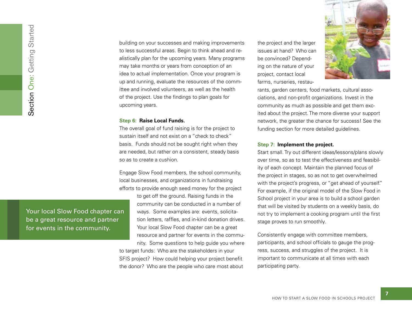building on your successes and making improvements to less successful areas. Begin to think ahead and realistically plan for the upcoming years. Many programs may take months or years from conception of an idea to actual implementation. Once your program is up and running, evaluate the resources of the committee and involved volunteers, as well as the health of the project. Use the findings to plan goals for upcoming years.

# **Step 6: Raise Local Funds.**

The overall goal of fund raising is for the project to sustain itself and not exist on a "check to check" basis. Funds should not be sought right when they are needed, but rather on a consistent, steady basis so as to create a cushion.

Engage Slow Food members, the school community, local businesses, and organizations in fundraising efforts to provide enough seed money for the project

> to get off the ground. Raising funds in the community can be conducted in a number of ways. Some examples are: events, solicitation letters, raffles, and in-kind donation drives. Your local Slow Food chapter can be a great resource and partner for events in the commu-

nity. Some questions to help guide you where to target funds: Who are the stakeholders in your SFIS project? How could helping your project benefit the donor? Who are the people who care most about

the project and the larger issues at hand? Who can be convinced? Depending on the nature of your project, contact local farms, nurseries, restau-



rants, garden centers, food markets, cultural associations, and non-profit organizations. Invest in the community as much as possible and get them excited about the project. The more diverse your support network, the greater the chance for success! See the funding section for more detailed guidelines.

#### **Step 7: Implement the project.**

Start small. Try out different ideas/lessons/plans slowly over time, so as to test the effectiveness and feasibility of each concept. Maintain the planned focus of the project in stages, so as not to get overwhelmed with the project's progress, or "get ahead of yourself." For example, if the original model of the Slow Food in School project in your area is to build a school garden that will be visited by students on a weekly basis, do not try to implement a cooking program until the first stage proves to run smoothly.

Consistently engage with committee members, participants, and school officials to gauge the progress, success, and struggles of the project. It is important to communicate at all times with each participating party.

Your local Slow Food chapter can be a great resource and partner Formulation<br>Formulation One:<br>The community. Section One: Getting Started Started Started Started Started Started Started Started Started Started Started Started Started Started Started Started Started Started Started Start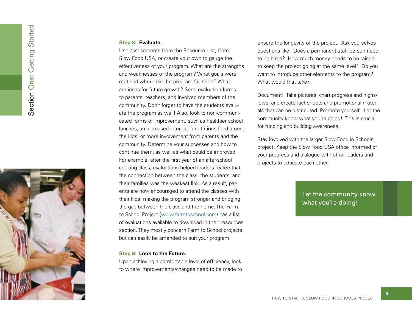

#### **Step 8: Evaluate.**

Use assessments from the Resource List, from Slow Food USA, or create your own to gauge the effectiveness of your program. What are the strengths and weaknesses of the program? What goals were met and where did the program fall short? What are ideas for future growth? Send evaluation forms to parents, teachers, and involved members of the community. Don't forget to have the students evaluate the program as well! Also, look to non-communicated forms of improvement, such as healthier school lunches, an increased interest in nutritious food among the kids, or more involvement from parents and the community. Determine your successes and how to continue them, as well as what could be improved. For example, after the first year of an after-school cooking class, evaluations helped leaders realize that the connection between the class, the students, and their families was the weakest link. As a result, parents are now encouraged to attend the classes with their kids, making the program stronger and bridging the gap between the class and the home. The Farm to School Project (www.farmtoschool.com) has a list of evaluations available to download in their resources section. They mostly concern Farm to School projects, but can easily be amended to suit your program.

# **Step 9: Look to the Future.**

Upon achieving a comfortable level of efficiency, look to where improvements/changes need to be made to ensure the longevity of the project. Ask yourselves questions like: Does a permanent staff person need to be hired? How much money needs to be raised to keep the project going at the same level? Do you want to introduce other elements to the program? What would that take?

Document! Take pictures, chart progress and highs/ lows, and create fact sheets and promotional materials that can be distributed. Promote yourself. Let the community know what you're doing! This is crucial for funding and building awareness.

Stay involved with the larger Slow Food in Schools project. Keep the Slow Food USA office informed of your progress and dialogue with other leaders and projects to educate each other.

> Let the community know what you're doing!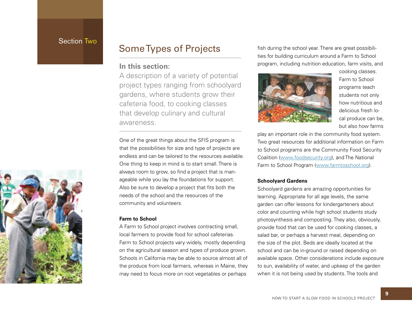# Section Two

# **In this section:**

A description of a variety of potential project types ranging from schoolyard gardens, where students grow their cafeteria food, to cooking classes that develop culinary and cultural awareness.

One of the great things about the SFIS program is that the possibilities for size and type of projects are endless and can be tailored to the resources available. One thing to keep in mind is to start small. There is always room to grow, so find a project that is manageable while you lay the foundations for support. Also be sure to develop a project that fits both the needs of the school and the resources of the community and volunteers.

# **Farm to School**

A Farm to School project involves contracting small, local farmers to provide food for school cafeterias. Farm to School projects vary widely, mostly depending on the agricultural season and types of produce grown. Schools in California may be able to source almost all of the produce from local farmers, whereas in Maine, they may need to focus more on root vegetables or perhaps

Some Types of Projects fish during the school year. There are great possibilities for building curriculum around a Farm to School program, including nutrition education, farm visits, and



cooking classes. Farm to School programs teach students not only how nutritious and delicious fresh local produce can be, but also how farms

play an important role in the community food system. Two great resources for additional information on Farm to School programs are the Community Food Security Coalition (www.foodsecurity.org), and The National Farm to School Program (www.farmtoschool.org).

# **Schoolyard Gardens**

Schoolyard gardens are amazing opportunities for learning. Appropriate for all age levels, the same garden can offer lessons for kindergarteners about color and counting while high school students study photosynthesis and composting. They also, obviously, provide food that can be used for cooking classes, a salad bar, or perhaps a harvest meal, depending on the size of the plot. Beds are ideally located at the school and can be in-ground or raised depending on available space. Other considerations include exposure to sun, availability of water, and upkeep of the garden when it is not being used by students. The tools and

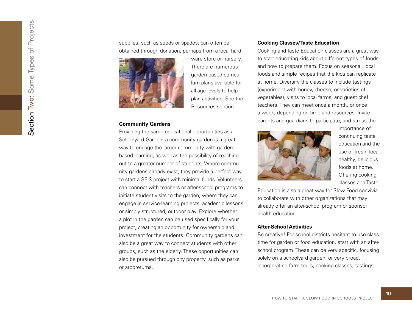Section Two: Some Types of Projects Section Two: Some Types of Projects

supplies, such as seeds or spades, can often be obtained through donation, perhaps from a local hard-



ware store or nursery. There are numerous garden-based curriculum plans available for all age levels to help plan activities. See the Resources section.

# **Community Gardens**

Providing the same educational opportunities as a Schoolyard Garden, a community garden is a great way to engage the larger community with gardenbased learning, as well as the possibility of reaching out to a greater number of students. Where community gardens already exist, they provide a perfect way to start a SFIS project with minimal funds. Volunteers can connect with teachers or after-school programs to initiate student visits to the garden, where they can engage in service-learning projects, academic lessons, or simply structured, outdoor play. Explore whether a plot in the garden can be used specifically for your project, creating an opportunity for ownership and investment for the students. Community gardens can also be a great way to connect students with other groups, such as the elderly. These opportunities can also be pursued through city property, such as parks or arboretums.

# **Cooking Classes/Taste Education**

Cooking and Taste Education classes are a great way to start educating kids about different types of foods and how to prepare them. Focus on seasonal, local foods and simple recipes that the kids can replicate at home. Diversify the classes to include tastings (experiment with honey, cheese, or varieties of vegetables), visits to local farms, and guest chef teachers. They can meet once a month, or once a week, depending on time and resources. Invite parents and guardians to participate, and stress the



importance of continuing taste education and the use of fresh, local, healthy, delicious foods at home. Offering cooking classes and Taste

Education is also a great way for Slow Food convivia to collaborate with other organizations that may already offer an after-school program or sponsor health education.

# **After-School Activities**

Be creative! For school districts hesitant to use class time for garden or food education, start with an afterschool program. These can be very specific, focusing solely on a schoolyard garden, or very broad, incorporating farm tours, cooking classes, tastings,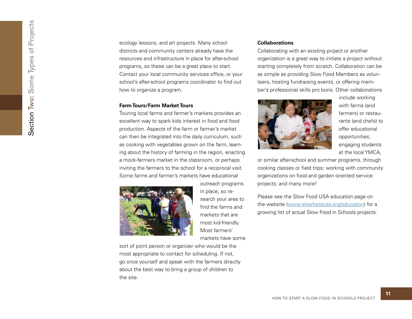ecology lessons, and art projects. Many school districts and community centers already have the resources and infrastructure in place for after-school programs, so these can be a great place to start. Contact your local community services office, or your school's after-school programs coordinator to find out how to organize a program.

# **Farm Tours/Farm Market Tours**

Touring local farms and farmer's markets provides an excellent way to spark kids interest in food and food production. Aspects of the farm or farmer's market can then be integrated into the daily curriculum, such as cooking with vegetables grown on the farm, learning about the history of farming in the region, enacting a mock-farmers market in the classroom, or perhaps inviting the farmers to the school for a reciprocal visit. Some farms and farmer's markets have educational



outreach programs in place, so research your area to<br>find the farms and markets that are most kid-friendly. Most farmers' markets have some

sort of point person or organizer who would be the most appropriate to contact for scheduling. If not, go once yourself and speak with the farmers directly about the best way to bring a group of children to the site.

# **Collaborations**

Collaborating with an existing project or another organization is a great way to initiate a project without starting completely from scratch. Collaboration can be as simple as providing Slow Food Members as volunteers, hosting fundraising events, or offering member's professional skills pro bono. Other collaborations



include working with farms (and farmers) or restaurants (and chefs) to offer educational opportunities; engaging students at the local YMCA,

or similar after-school and summer programs, through cooking classes or field trips; working with community organizations on food and garden oriented service projects; and many more!

Please see the Slow Food USA education page on the website (www.slowfoodusa.org/education) for a growing list of actual Slow Food in Schools projects.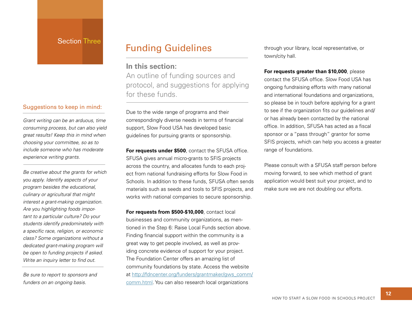# Section Three

# Suggestions to keep in mind:

*Grant writing can be an arduous, time consuming process, but can also yield great results! Keep this in mind when choosing your committee, so as to include someone who has moderate experience writing grants.*

*Be creative about the grants for which you apply. Identify aspects of your program besides the educational, culinary or agricultural that might interest a grant-making organization. Are you highlighting foods important to a particular culture? Do your students identify predominately with a specifi c race, religion, or economic class? Some organizations without a dedicated grant-making program will be open to funding projects if asked. Write an inquiry letter to find out.* 

*Be sure to report to sponsors and funders on an ongoing basis.*

# Funding Guidelines through your library, local representative, or

# **In this section:**

An outline of funding sources and protocol, and suggestions for applying for these funds.

Due to the wide range of programs and their correspondingly diverse needs in terms of financial support, Slow Food USA has developed basic guidelines for pursuing grants or sponsorship.

For requests under \$500, contact the SFUSA office. SFUSA gives annual micro-grants to SFIS projects across the country, and allocates funds to each project from national fundraising efforts for Slow Food in Schools. In addition to these funds, SFUSA often sends materials such as seeds and tools to SFIS projects, and works with national companies to secure sponsorship.

**For requests from \$500-\$10,000**, contact local businesses and community organizations, as mentioned in the Step 6: Raise Local Funds section above. Finding financial support within the community is a great way to get people involved, as well as providing concrete evidence of support for your project. The Foundation Center offers an amazing list of community foundations by state. Access the website at http://fdncenter.org/funders/grantmaker/gws\_comm/ comm.html. You can also research local organizations

town/city hall.

#### **For requests greater than \$10,000**, please

contact the SFUSA office. Slow Food USA has ongoing fundraising efforts with many national and international foundations and organizations, so please be in touch before applying for a grant to see if the organization fits our guidelines and/ or has already been contacted by the national office. In addition, SFUSA has acted as a fiscal sponsor or a "pass through" grantor for some SFIS projects, which can help you access a greater range of foundations.

Please consult with a SFUSA staff person before moving forward, to see which method of grant application would best suit your project, and to make sure we are not doubling our efforts.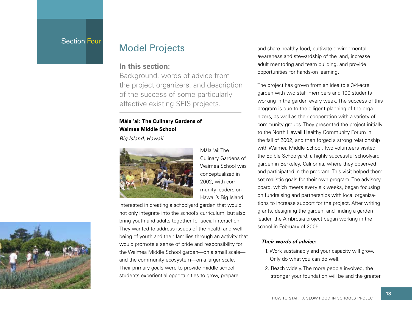# Section Four

# **In this section:**

Background, words of advice from the project organizers, and description of the success of some particularly effective existing SFIS projects.

# **Mála 'ai: The Culinary Gardens of Waimea Middle School**

*Big Island, Hawaii*



Mála 'ai: The Culinary Gardens of Waimea School was conceptualized in 2002, with community leaders on Hawaii's Big Island

interested in creating a schoolyard garden that would not only integrate into the school's curriculum, but also bring youth and adults together for social interaction. They wanted to address issues of the health and well being of youth and their families through an activity that would promote a sense of pride and responsibility for the Waimea Middle School garden—on a small scale and the community ecosystem—on a larger scale. Their primary goals were to provide middle school students experiential opportunities to grow, prepare

Model Projects and share healthy food, cultivate environmental awareness and stewardship of the land, increase adult mentoring and team building, and provide opportunities for hands-on learning.

> The project has grown from an idea to a 3/4-acre garden with two staff members and 100 students working in the garden every week. The success of this program is due to the diligent planning of the organizers, as well as their cooperation with a variety of community groups. They presented the project initially to the North Hawaii Healthy Community Forum in the fall of 2002, and then forged a strong relationship with Waimea Middle School. Two volunteers visited the Edible Schoolyard, a highly successful schoolyard garden in Berkeley, California, where they observed and participated in the program. This visit helped them set realistic goals for their own program. The advisory board, which meets every six weeks, began focusing on fundraising and partnerships with local organizations to increase support for the project. After writing grants, designing the garden, and finding a garden leader, the Ambrosia project began working in the school in February of 2005.

# *Their words of advice:*

- 1. Work sustainably and your capacity will grow. Only do what you can do well.
- 2. Reach widely. The more people involved, the stronger your foundation will be and the greater

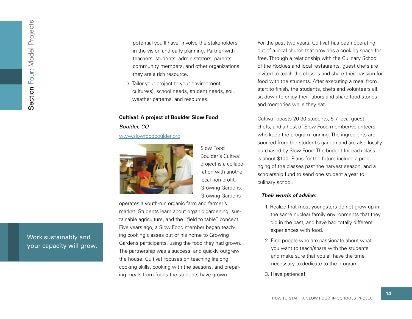potential you'll have. Involve the stakeholders in the vision and early planning. Partner with teachers, students, administrators, parents, community members, and other organizations: they are a rich resource.

3. Tailor your project to your environment, culture(s), school needs, student needs, soil, weather patterns, and resources.

#### **Cultiva!: A project of Boulder Slow Food**

*Boulder, CO*

## www.slowfoodboulder.org



Slow Food Boulder's Cultiva! project is a collaboration with another local non-profit, Growing Gardens. Growing Gardens

operates a youth-run organic farm and farmer's market. Students learn about organic gardening, sustainable agriculture, and the "field to table" concept. Five years ago, a Slow Food member began teaching cooking classes out of his home to Growing Gardens participants, using the food they had grown. The partnership was a success, and quickly outgrew the house. Cultiva! focuses on teaching lifelong cooking skills, cooking with the seasons, and preparing meals from foods the students have grown.

For the past two years, Cultiva! has been operating out of a local church that provides a cooking space for free. Through a relationship with the Culinary School of the Rockies and local restaurants, guest chefs are invited to teach the classes and share their passion for food with the students. After executing a meal from start to finish, the students, chefs and volunteers all sit down to enjoy their labors and share food stories and memories while they eat.

Cultiva! boasts 20-30 students, 5-7 local guest chefs, and a host of Slow Food member/volunteers who keep the program running. The ingredients are sourced from the student's garden and are also locally purchased by Slow Food. The budget for each class is about \$100. Plans for the future include a prolonging of the classes past the harvest season, and a scholarship fund to send one student a year to culinary school.

# *Their words of advice:*

- 1. Realize that most youngsters do not grow up in the same nuclear family environments that they did in the past, and have had totally different experiences with food.
- 2. Find people who are passionate about what you want to teach/share with the students and make sure that you all have the time necessary to dedicate to the program.
- 3. Have patience!

Work sustainably and your capacity will grow.<br>Work sustainably and<br>your capacity will grow.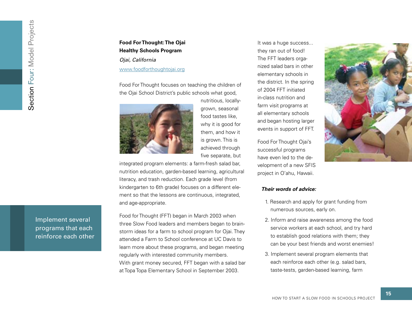# **Food For Thought: The Ojai Healthy Schools Program**

*Ojai, California* www.foodforthoughtojai.org

Food For Thought focuses on teaching the children of the Ojai School District's public schools what good,



nutritious, locallygrown, seasonal food tastes like, why it is good for them, and how it is grown. This is achieved through five separate, but

integrated program elements: a farm-fresh salad bar, nutrition education, garden-based learning, agricultural literacy, and trash reduction. Each grade level (from kindergarten to 6th grade) focuses on a different element so that the lessons are continuous, integrated, and age-appropriate.

Food for Thought (FFT) began in March 2003 when three Slow Food leaders and members began to brainstorm ideas for a farm to school program for Ojai. They attended a Farm to School conference at UC Davis to learn more about these programs, and began meeting regularly with interested community members. With grant money secured, FFT began with a salad bar at Topa Topa Elementary School in September 2003.

It was a huge success... they ran out of food! The FFT leaders organized salad bars in other elementary schools in the district. In the spring of 2004 FFT initiated in-class nutrition and farm visit programs at all elementary schools and began hosting larger events in support of FFT.

Food For Thought Ojai's successful programs have even led to the development of a new SFIS project in O'ahu, Hawaii.



# *Their words of advice:*

- 1. Research and apply for grant funding from numerous sources, early on.
- 2. Inform and raise awareness among the food service workers at each school, and try hard to establish good relations with them; they can be your best friends and worst enemies!
- 3. Implement several program elements that each reinforce each other (e.g. salad bars, taste-tests, garden-based learning, farm

Implement several programs that each reinforce each other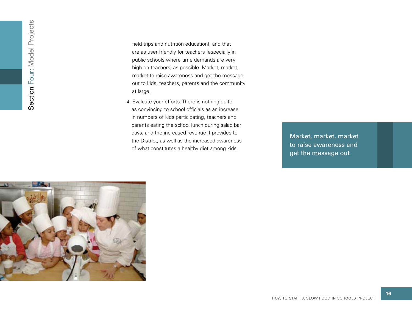field trips and nutrition education), and that are as user friendly for teachers (especially in public schools where time demands are very high on teachers) as possible. Market, market, market to raise awareness and get the message out to kids, teachers, parents and the community at large.

4. Evaluate your efforts. There is nothing quite as convincing to school officials as an increase in numbers of kids participating, teachers and parents eating the school lunch during salad bar days, and the increased revenue it provides to the District, as well as the increased awareness of what constitutes a healthy diet among kids.

Market, market, market to raise awareness and get the message out

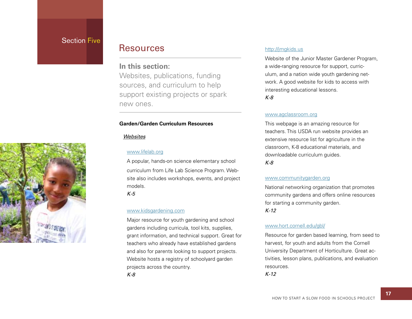# **Section Five**

# Resources

# **In this section:**

Websites, publications, funding sources, and curriculum to help support existing projects or spark new ones.

# **Garden/Garden Curriculum Resources**

# *Websites*

# www.lifelab.org

A popular, hands-on science elementary school curriculum from Life Lab Science Program. Website also includes workshops, events, and project models.

*K-5*

# www.kidsgardening.com

Major resource for youth gardening and school gardens including curricula, tool kits, supplies, grant information, and technical support. Great for teachers who already have established gardens and also for parents looking to support projects. Website hosts a registry of schoolyard garden projects across the country.

*K-8*

# http://jmgkids.us

Website of the Junior Master Gardener Program, a wide-ranging resource for support, curriculum, and a nation wide youth gardening network. A good website for kids to access with interesting educational lessons.

# *K-8*

# www.agclassroom.org

This webpage is an amazing resource for teachers. This USDA run website provides an extensive resource list for agriculture in the classroom, K-8 educational materials, and downloadable curriculum guides.

### *K-8*

#### www.communitygarden.org

National networking organization that promotes community gardens and offers online resources for starting a community garden. *K-12*

# www.hort.cornell.edu/gbl/

Resource for garden based learning, from seed to harvest, for youth and adults from the Cornell University Department of Horticulture. Great activities, lesson plans, publications, and evaluation resources.

*K-12*

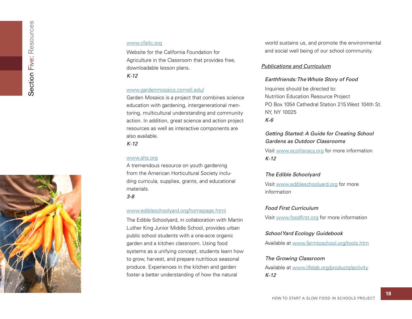#### www.cfaitc.org

Website for the California Foundation for Agriculture in the Classroom that provides free, downloadable lesson plans. *K-12*

### www.gardenmosaics.cornell.edu/

Garden Mosaics is a project that combines science education with gardening, intergenerational mentoring, multicultural understanding and community action. In addition, great science and action project resources as well as interactive components are also available.

*K-12*

# www.ahs.org

A tremendous resource on youth gardening from the American Horticultural Society including curricula, supplies, grants, and educational materials.

*3-8*

#### www.edibleschoolyard.org/homepage.html

The Edible Schoolyard, in collaboration with Martin Luther King Junior Middle School, provides urban public school students with a one-acre organic garden and a kitchen classroom. Using food systems as a unifying concept, students learn how to grow, harvest, and prepare nutritious seasonal produce. Experiences in the kitchen and garden foster a better understanding of how the natural

world sustains us, and promote the environmental and social well being of our school community.

# *Publications and Curriculum*

# *Earthfriends: The Whole Story of Food*

Inquiries should be directed to: Nutrition Education Resource Project PO Box 1054 Cathedral Station 215 West 104th St. NY, NY 10025 *K-6*

# *Getting Started: A Guide for Creating School Gardens as Outdoor Classrooms*

Visit www.ecoliteracy.org for more information *K-12*

#### *The Edible Schoolyard*

Visit www.edibleschoolyard.org for more information

### *Food First Curriculum*

Visit www.foodfirst.org for more information

## *School Yard Ecology Guidebook*

Available at www.farmtoschool.org/tools.htm

# *The Growing Classroom*

Available at www.lifelab.org/products/activity *K-12*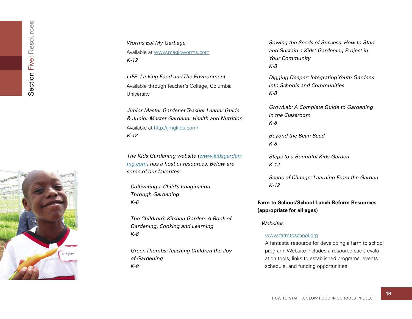

Available at www.magicworms.com *K-12*

*LiFE: Linking Food and The Environment* Available through Teacher's College, Columbia **University** 

*Junior Master Gardener Teacher Leader Guide & Junior Master Gardener Health and Nutrition* Available at http://jmgkids.com/ *K-12*

*The Kids Gardening website (www.kidsgardening.com) has a host of resources. Below are some of our favorites:*

*Cultivating a Child's Imagination Through Gardening K-6*

*The Children's Kitchen Garden: A Book of Gardening, Cooking and Learning K-8*

*Green Thumbs: Teaching Children the Joy of Gardening K-8*

*Sowing the Seeds of Success: How to Start and Sustain a Kids' Gardening Project in Your Community K-8*

*Digging Deeper: Integrating Youth Gardens Into Schools and Communities K-8*

*GrowLab: A Complete Guide to Gardening in the Classroom K-8*

*Beyond the Bean Seed K-8*

*Steps to a Bountiful Kids Garden K-12*

*Seeds of Change: Learning From the Garden K-12*

# **Farm to School/School Lunch Reform Resources (appropriate for all ages)**

# *Websites*

#### www.farmtoschool.org

A fantastic resource for developing a farm to school program. Website includes a resource pack, evaluation tools, links to established programs, events schedule, and funding opportunities.

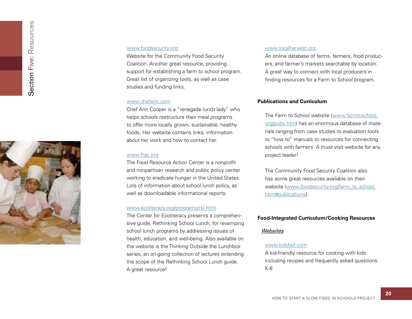

# www.foodsecurity.org

Website for the Community Food Security Coalition. Another great resource, providing support for establishing a farm to school program. Great list of organizing tools, as well as case studies and funding links.

# www.chefann.com

Chef Ann Cooper is a "renegade lunch lady" who helps schools restructure their meal programs to offer more locally grown, sustainable, healthy foods. Her website contains links, information about her work and how to contact her.

# www.frac.org

The Food Resource Action Center is a nonprofit and nonpartisan research and public policy center working to eradicate hunger in the United States. Lots of information about school lunch policy, as well as downloadable informational reports.

### www.ecoliteracy.org/programs/rsl.html

The Center for Ecoliteracy presents a comprehensive guide, Rethinking School Lunch, for revamping school lunch programs by addressing issues of health, education, and well-being. Also available on the website is the Thinking Outside the Lunchbox series, an on-going collection of lectures extending the scope of the Rethinking School Lunch guide. A great resource!

#### www.localharvest.org

An online database of farms, farmers, food producers, and farmer's markets searchable by location. A great way to connect with local producers in<br>finding resources for a Farm to School program.

# **Publications and Curriculum**

The Farm to School website (www.farmtoschool. org/pubs.htm) has an enormous database of materials ranging from case studies to evaluation tools to "how to" manuals to resources for connecting schools with farmers. A must visit website for any project leader!

The Community Food Security Coalition also has some great resources available on their website (www.foodsecurity.org/farm\_to\_school. html#publications).

# **Food-Integrated Curriculum/Cooking Resources**

#### *Websites*

# www.kidchef.com

A kid-friendly resource for cooking with kids including recipes and frequently asked questions. K-8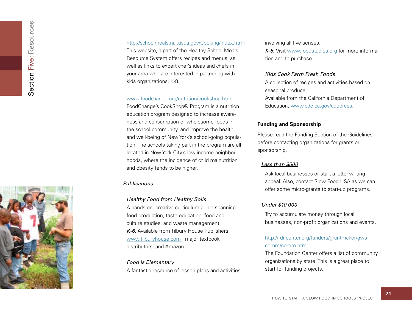

# http://schoolmeals.nal.usda.gov/Cooking/index.html

This website, a part of the Healthy School Meals Resource System offers recipes and menus, as well as links to expert chef's ideas and chefs in your area who are interested in partnering with kids organizations. K-8.

#### www.foodchange.org/nutrition/cookshop.html

FoodChange's CookShop® Program is a nutrition education program designed to increase awareness and consumption of wholesome foods in the school community, and improve the health and well-being of New York's school-going population. The schools taking part in the program are all located in New York City's low-income neighborhoods, where the incidence of child malnutrition and obesity tends to be higher.

# *Publications*

# *Healthy Food from Healthy Soils*

A hands-on, creative curriculum guide spanning food production, taste education, food and culture studies, and waste management. *K-6.* Available from Tilbury House Publishers, www.tilburyhouse.com , major textbook distributors, and Amazon.

# *Food is Elementary*

A fantastic resource of lesson plans and activities

involving all five senses.

*K-8.* Visit www.foodstudies.org for more information and to purchase.

# *Kids Cook Farm Fresh Foods*

A collection of recipes and activities based on seasonal produce. Available from the California Department of Education, www.cde.ca.gov/cdepress.

# **Funding and Sponsorship**

Please read the Funding Section of the Guidelines before contacting organizations for grants or sponsorship.

# *Less than \$500*

Ask local businesses or start a letter-writing appeal. Also, contact Slow Food USA as we can offer some micro-grants to start-up programs.

# *Under \$10,000*

Try to accumulate money through local businesses, non-profit organizations and events.

# http://fdncenter.org/funders/grantmaker/gws\_ comm/comm.html

The Foundation Center offers a list of community organizations by state. This is a great place to start for funding projects.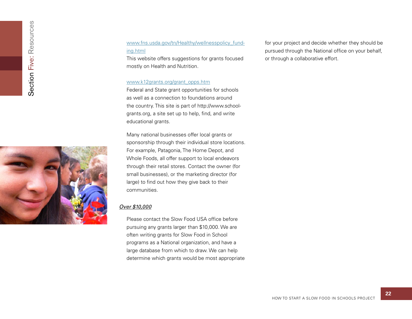

# www.fns.usda.gov/tn/Healthy/wellnesspolicy\_funding.html

This website offers suggestions for grants focused mostly on Health and Nutrition.

#### www.k12grants.org/grant\_opps.htm

Federal and State grant opportunities for schools as well as a connection to foundations around the country. This site is part of http://www.schoolgrants.org, a site set up to help, find, and write educational grants.

Many national businesses offer local grants or sponsorship through their individual store locations. For example, Patagonia, The Home Depot, and Whole Foods, all offer support to local endeavors through their retail stores. Contact the owner (for small businesses), or the marketing director (for large) to find out how they give back to their communities.

# *Over \$10,000*

Please contact the Slow Food USA office before pursuing any grants larger than \$10,000. We are often writing grants for Slow Food in School programs as a National organization, and have a large database from which to draw. We can help determine which grants would be most appropriate for your project and decide whether they should be pursued through the National office on your behalf, or through a collaborative effort.